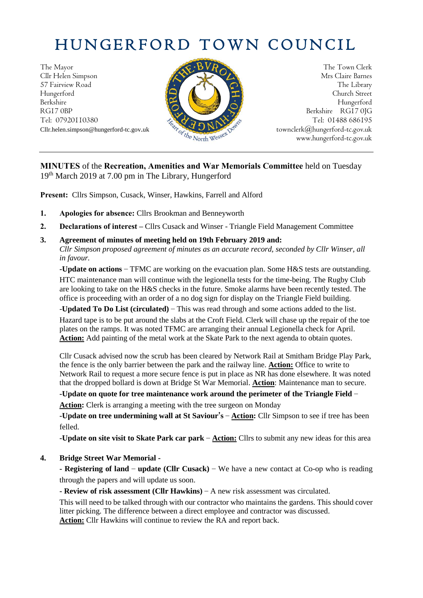# HUNGERFORD TOWN COUNCIL

The Mayor The Town Clerk<br>Clir Helen Simpson Mrs Claire Barnes Cllr Helen Simpson 57 Fairview Road **The Library The Library The Library** Hungerford **Church Street** Berkshire Hungerford RG17 0BP Berkshire RG17 0JG<br>Tel: 07920110380 Tel: 07920110380



Tel: 01488 686195 Cllr.helen.simpson@hungerford-tc.gov.uk [townclerk@hungerford-tc.gov.uk](mailto:townclerk@hungerford-tc.gov.uk) townclerk@hungerford-tc.gov.uk www.hungerford-tc.gov.uk www.hungerford-tc.gov.uk

## **MINUTES** of the **Recreation, Amenities and War Memorials Committee** held on Tuesday 19th March 2019 at 7.00 pm in The Library, Hungerford

**Present:** Cllrs Simpson, Cusack, Winser, Hawkins, Farrell and Alford

- **1. Apologies for absence:** Cllrs Brookman and Benneyworth
- **2. Declarations of interest –** Cllrs Cusack and Winser Triangle Field Management Committee
- **3. Agreement of minutes of meeting held on 19th February 2019 and:** *Cllr Simpson proposed agreement of minutes as an accurate record, seconded by Cllr Winser, all in favour.*

**-Update on actions –** TFMC are working on the evacuation plan. Some H&S tests are outstanding. HTC maintenance man will continue with the legionella tests for the time-being. The Rugby Club are looking to take on the H&S checks in the future. Smoke alarms have been recently tested. The office is proceeding with an order of a no dog sign for display on the Triangle Field building.

-**Updated To Do List (circulated) –** This was read through and some actions added to the list.

Hazard tape is to be put around the slabs at the Croft Field. Clerk will chase up the repair of the toe plates on the ramps. It was noted TFMC are arranging their annual Legionella check for April. **Action:** Add painting of the metal work at the Skate Park to the next agenda to obtain quotes.

Cllr Cusack advised now the scrub has been cleared by Network Rail at Smitham Bridge Play Park, the fence is the only barrier between the park and the railway line. **Action:** Office to write to Network Rail to request a more secure fence is put in place as NR has done elsewhere. It was noted that the dropped bollard is down at Bridge St War Memorial. **Action**: Maintenance man to secure.

**-Update on quote for tree maintenance work around the perimeter of the Triangle Field – Action:** Clerk is arranging a meeting with the tree surgeon on Monday

**-Update on tree undermining wall at St Saviour's – Action:** Cllr Simpson to see if tree has been felled.

**-Update on site visit to Skate Park car park – Action:** Cllrs to submit any new ideas for this area

**4. Bridge Street War Memorial -**

**- Registering of land – update (Cllr Cusack) –** We have a new contact at Co-op who is reading through the papers and will update us soon.

**- Review of risk assessment (Cllr Hawkins) –** A new risk assessment was circulated.

This will need to be talked through with our contractor who maintains the gardens. This should cover litter picking. The difference between a direct employee and contractor was discussed.

Action: Cllr Hawkins will continue to review the RA and report back.